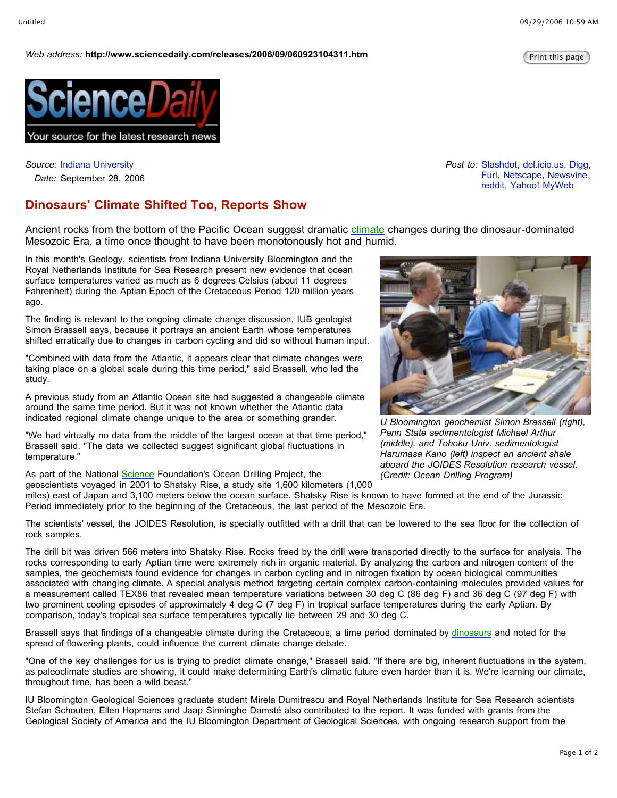## *Web* address: http://www.sciencedaily.com/releases/2006/09/060923104311.htm

*Post to:* Slashdot, del.icio.us, Digg,

Furl, Netscape, Newsvine, reddit, Yahoo! MyWeb



*Source:* Indiana University *Date:* September 28, 2006

## **Dinosaurs' Climate Shifted Too, Reports Show**

Ancient rocks from the bottom of the Pacific Ocean suggest dramatic climate changes during the dinosaur-dominated Mesozoic Era, a time once thought to have been monotonously hot and humid.

In this month's Geology, scientists from Indiana University Bloomington and the Royal Netherlands Institute for Sea Research present new evidence that ocean surface temperatures varied as much as 6 degrees Celsius (about 11 degrees Fahrenheit) during the Aptian Epoch of the Cretaceous Period 120 million years ago.

The finding is relevant to the ongoing climate change discussion, IUB geologist Simon Brassell says, because it portrays an ancient Earth whose temperatures shifted erratically due to changes in carbon cycling and did so without human input.

"Combined with data from the Atlantic, it appears clear that climate changes were taking place on a global scale during this time period," said Brassell, who led the study.

A previous study from an Atlantic Ocean site had suggested a changeable climate around the same time period. But it was not known whether the Atlantic data indicated regional climate change unique to the area or something grander.

"We had virtually no data from the middle of the largest ocean at that time period," Brassell said. "The data we collected suggest significant global fluctuations in temperature."

As part of the National Science Foundation's Ocean Drilling Project, the

geoscientists voyaged in 2001 to Shatsky Rise, a study site 1,600 kilometers (1,000

miles) east of Japan and 3,100 meters below the ocean surface. Shatsky Rise is known to have formed at the end of the Jurassic Period immediately prior to the beginning of the Cretaceous, the last period of the Mesozoic Era.

The scientists' vessel, the JOIDES Resolution, is specially outfitted with a drill that can be lowered to the sea floor for the collection of rock samples.

The drill bit was driven 566 meters into Shatsky Rise. Rocks freed by the drill were transported directly to the surface for analysis. The rocks corresponding to early Aptian time were extremely rich in organic material. By analyzing the carbon and nitrogen content of the samples, the geochemists found evidence for changes in carbon cycling and in nitrogen fixation by ocean biological communities associated with changing climate. A special analysis method targeting certain complex carbon-containing molecules provided values for a measurement called TEX86 that revealed mean temperature variations between 30 deg C (86 deg F) and 36 deg C (97 deg F) with two prominent cooling episodes of approximately 4 deg C (7 deg F) in tropical surface temperatures during the early Aptian. By comparison, today's tropical sea surface temperatures typically lie between 29 and 30 deg C.

Brassell says that findings of a changeable climate during the Cretaceous, a time period dominated by dinosaurs and noted for the spread of flowering plants, could influence the current climate change debate.

"One of the key challenges for us is trying to predict climate change," Brassell said. "If there are big, inherent fluctuations in the system, as paleoclimate studies are showing, it could make determining Earth's climatic future even harder than it is. We're learning our climate, throughout time, has been a wild beast."

IU Bloomington Geological Sciences graduate student Mirela Dumitrescu and Royal Netherlands Institute for Sea Research scientists Stefan Schouten, Ellen Hopmans and Jaap Sinninghe Damsté also contributed to the report. It was funded with grants from the Geological Society of America and the IU Bloomington Department of Geological Sciences, with ongoing research support from the



*U Bloomington geochemist Simon Brassell (right), Penn State sedimentologist Michael Arthur (middle), and Tohoku Univ. sedimentologist Harumasa Kano (left) inspect an ancient shale aboard the JOIDES Resolution research vessel. (Credit: Ocean Drilling Program)*